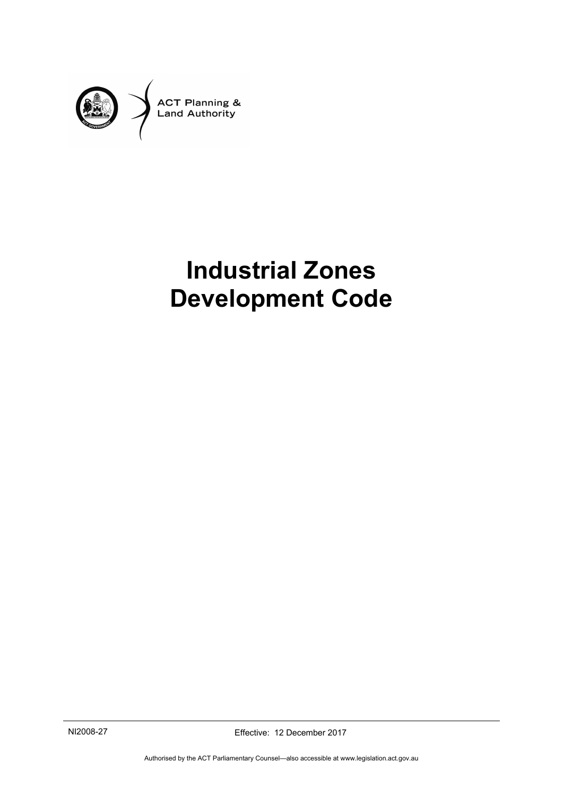

# **Industrial Zones Development Code**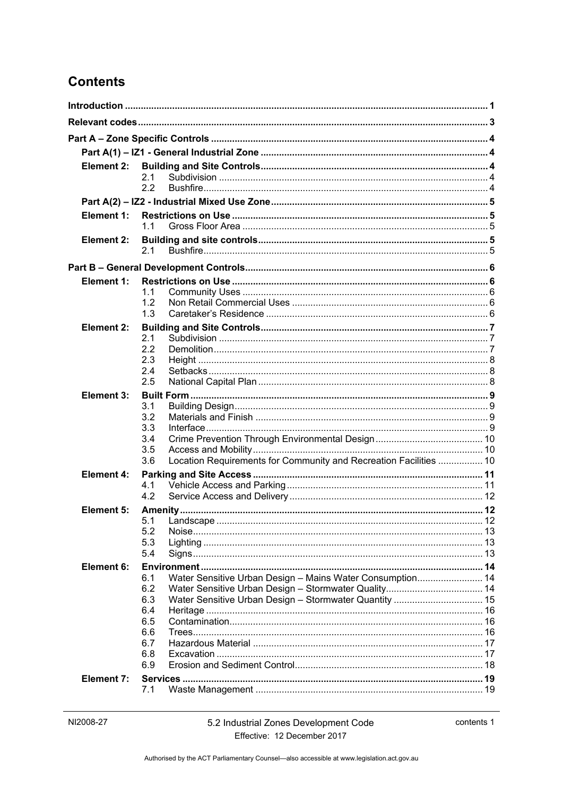# **Contents**

| Element 2:        |            |                                                                   |  |
|-------------------|------------|-------------------------------------------------------------------|--|
|                   | 2.1        |                                                                   |  |
|                   | 2.2        |                                                                   |  |
|                   |            |                                                                   |  |
| Element 1:        |            |                                                                   |  |
|                   | 11         |                                                                   |  |
| Element 2:        |            |                                                                   |  |
|                   | 2.1        |                                                                   |  |
|                   |            |                                                                   |  |
| Element 1:        |            |                                                                   |  |
|                   | 1.1        |                                                                   |  |
|                   | 1.2        |                                                                   |  |
|                   | 1.3        |                                                                   |  |
| Element 2:        |            |                                                                   |  |
|                   | 2.1        |                                                                   |  |
|                   | 2.2        |                                                                   |  |
|                   | 2.3<br>2.4 |                                                                   |  |
|                   | 2.5        |                                                                   |  |
| Element 3:        |            |                                                                   |  |
|                   | 3.1        |                                                                   |  |
|                   | 3.2        |                                                                   |  |
|                   | 3.3        |                                                                   |  |
|                   | 3.4        |                                                                   |  |
|                   | 3.5        |                                                                   |  |
|                   | 3.6        | Location Requirements for Community and Recreation Facilities  10 |  |
| <b>Element 4:</b> |            |                                                                   |  |
|                   | 4.1<br>4.2 |                                                                   |  |
| Element 5:        |            |                                                                   |  |
|                   | 5.1        |                                                                   |  |
|                   | 5.2        |                                                                   |  |
|                   | 5.3        |                                                                   |  |
|                   | 5.4        |                                                                   |  |
| Element 6:        |            |                                                                   |  |
|                   | 6.1        | Water Sensitive Urban Design - Mains Water Consumption 14         |  |
|                   | 6.2        |                                                                   |  |
|                   | 6.3<br>6.4 |                                                                   |  |
|                   | 6.5        |                                                                   |  |
|                   | 6.6        |                                                                   |  |
|                   | 6.7        |                                                                   |  |
|                   | 6.8        |                                                                   |  |
|                   | 6.9        |                                                                   |  |
| <b>Element 7:</b> |            |                                                                   |  |
|                   | 7.1        |                                                                   |  |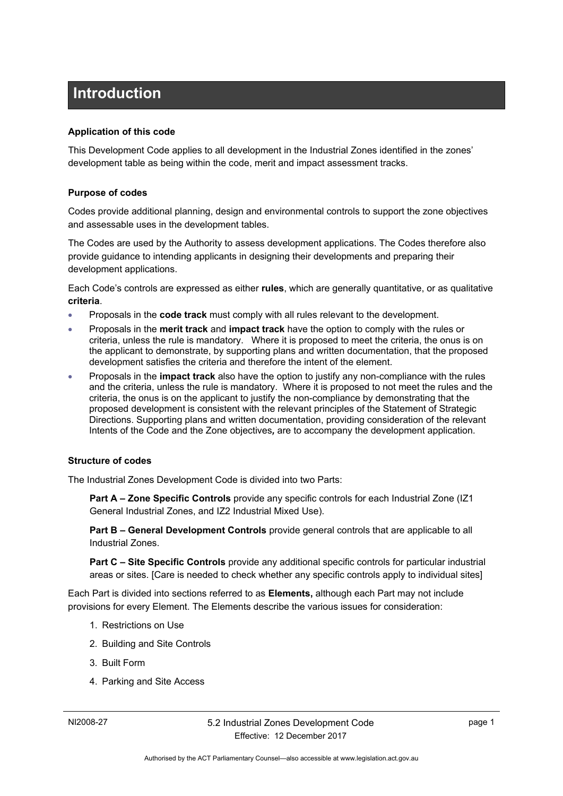# <span id="page-4-0"></span>**Introduction**

#### **Application of this code**

This Development Code applies to all development in the Industrial Zones identified in the zones' development table as being within the code, merit and impact assessment tracks.

#### **Purpose of codes**

Codes provide additional planning, design and environmental controls to support the zone objectives and assessable uses in the development tables.

The Codes are used by the Authority to assess development applications. The Codes therefore also provide guidance to intending applicants in designing their developments and preparing their development applications.

Each Code's controls are expressed as either **rules**, which are generally quantitative, or as qualitative **criteria**.

- Proposals in the **code track** must comply with all rules relevant to the development.
- Proposals in the **merit track** and **impact track** have the option to comply with the rules or criteria, unless the rule is mandatory. Where it is proposed to meet the criteria, the onus is on the applicant to demonstrate, by supporting plans and written documentation, that the proposed development satisfies the criteria and therefore the intent of the element.
- Proposals in the **impact track** also have the option to justify any non-compliance with the rules and the criteria, unless the rule is mandatory. Where it is proposed to not meet the rules and the criteria, the onus is on the applicant to justify the non-compliance by demonstrating that the proposed development is consistent with the relevant principles of the Statement of Strategic Directions. Supporting plans and written documentation, providing consideration of the relevant Intents of the Code and the Zone objectives*,* are to accompany the development application.

#### **Structure of codes**

The Industrial Zones Development Code is divided into two Parts:

**Part A – Zone Specific Controls** provide any specific controls for each Industrial Zone (IZ1 General Industrial Zones, and IZ2 Industrial Mixed Use).

**Part B – General Development Controls** provide general controls that are applicable to all Industrial Zones.

**Part C – Site Specific Controls** provide any additional specific controls for particular industrial areas or sites. [Care is needed to check whether any specific controls apply to individual sites]

Each Part is divided into sections referred to as **Elements,** although each Part may not include provisions for every Element. The Elements describe the various issues for consideration:

- 1. Restrictions on Use
- 2. Building and Site Controls
- 3. Built Form
- 4. Parking and Site Access

page 1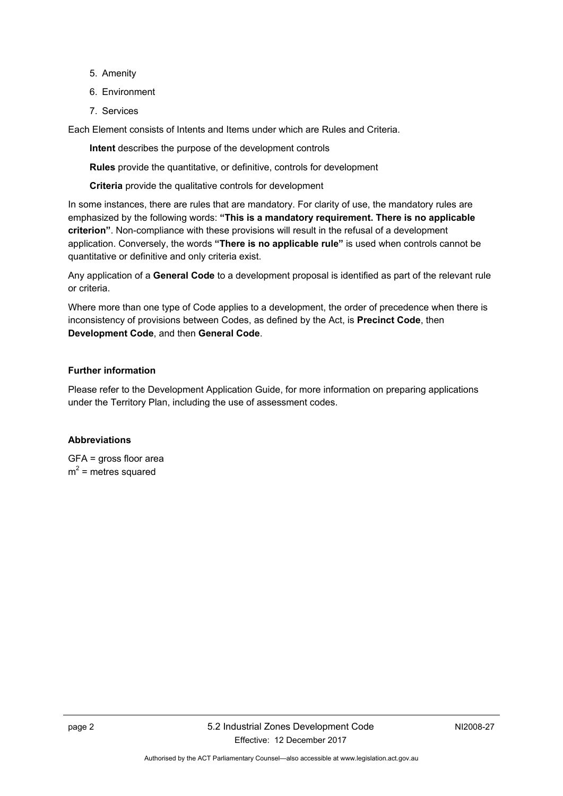- 5. Amenity
- 6. Environment
- 7. Services

Each Element consists of Intents and Items under which are Rules and Criteria.

**Intent** describes the purpose of the development controls

**Rules** provide the quantitative, or definitive, controls for development

**Criteria** provide the qualitative controls for development

In some instances, there are rules that are mandatory. For clarity of use, the mandatory rules are emphasized by the following words: **"This is a mandatory requirement. There is no applicable criterion"**. Non-compliance with these provisions will result in the refusal of a development application. Conversely, the words **"There is no applicable rule"** is used when controls cannot be quantitative or definitive and only criteria exist.

Any application of a **General Code** to a development proposal is identified as part of the relevant rule or criteria.

Where more than one type of Code applies to a development, the order of precedence when there is inconsistency of provisions between Codes, as defined by the Act, is **Precinct Code**, then **Development Code**, and then **General Code**.

#### **Further information**

Please refer to the Development Application Guide, for more information on preparing applications under the Territory Plan, including the use of assessment codes.

#### **Abbreviations**

GFA = gross floor area  $m^2$  = metres squared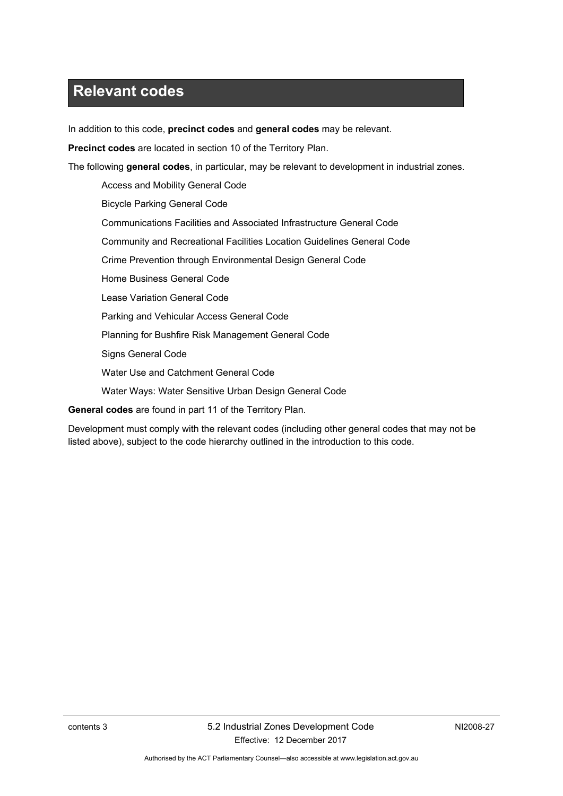# <span id="page-6-0"></span>**Relevant codes**

In addition to this code, **precinct codes** and **general codes** may be relevant.

**Precinct codes** are located in section 10 of the Territory Plan.

The following **general codes**, in particular, may be relevant to development in industrial zones.

Access and Mobility General Code Bicycle Parking General Code Communications Facilities and Associated Infrastructure General Code Community and Recreational Facilities Location Guidelines General Code Crime Prevention through Environmental Design General Code Home Business General Code Lease Variation General Code Parking and Vehicular Access General Code Planning for Bushfire Risk Management General Code Signs General Code Water Use and Catchment General Code Water Ways: Water Sensitive Urban Design General Code

**General codes** are found in part 11 of the Territory Plan.

Development must comply with the relevant codes (including other general codes that may not be listed above), subject to the code hierarchy outlined in the introduction to this code.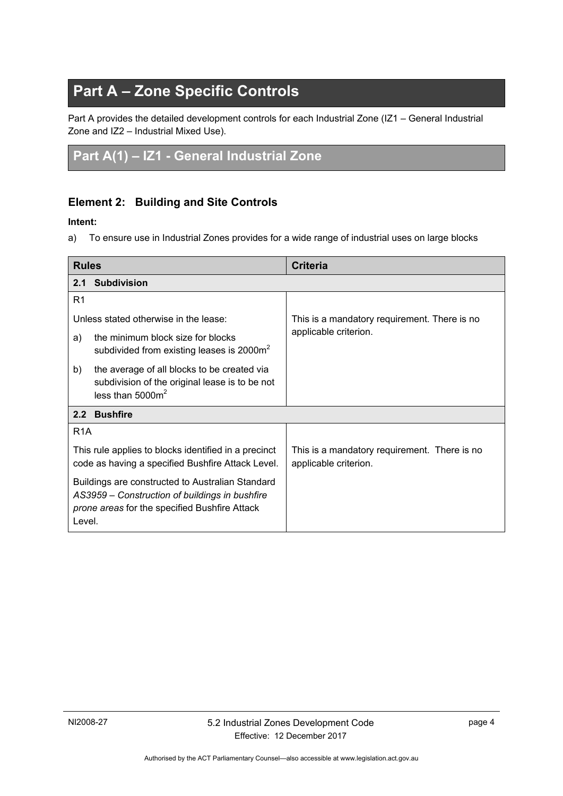# <span id="page-7-0"></span>**Part A – Zone Specific Controls**

Part A provides the detailed development controls for each Industrial Zone (IZ1 – General Industrial Zone and IZ2 – Industrial Mixed Use).

# <span id="page-7-1"></span>**Part A(1) – IZ1 - General Industrial Zone**

### <span id="page-7-2"></span>**Element 2: Building and Site Controls**

#### **Intent:**

a) To ensure use in Industrial Zones provides for a wide range of industrial uses on large blocks

<span id="page-7-4"></span><span id="page-7-3"></span>

| <b>Rules</b>                                                                                                                                                  |                                                                                                                      | <b>Criteria</b>                                                       |
|---------------------------------------------------------------------------------------------------------------------------------------------------------------|----------------------------------------------------------------------------------------------------------------------|-----------------------------------------------------------------------|
|                                                                                                                                                               | 2.1 Subdivision                                                                                                      |                                                                       |
| R1                                                                                                                                                            |                                                                                                                      |                                                                       |
|                                                                                                                                                               | Unless stated otherwise in the lease:                                                                                | This is a mandatory requirement. There is no                          |
| a)                                                                                                                                                            | the minimum block size for blocks<br>subdivided from existing leases is 2000m <sup>2</sup>                           | applicable criterion.                                                 |
| b)                                                                                                                                                            | the average of all blocks to be created via<br>subdivision of the original lease is to be not<br>less than $5000m^2$ |                                                                       |
| 2.2 Bushfire                                                                                                                                                  |                                                                                                                      |                                                                       |
| R <sub>1</sub> A                                                                                                                                              |                                                                                                                      |                                                                       |
| This rule applies to blocks identified in a precinct<br>code as having a specified Bushfire Attack Level.                                                     |                                                                                                                      | This is a mandatory requirement. There is no<br>applicable criterion. |
| Buildings are constructed to Australian Standard<br>AS3959 - Construction of buildings in bushfire<br>prone areas for the specified Bushfire Attack<br>Level. |                                                                                                                      |                                                                       |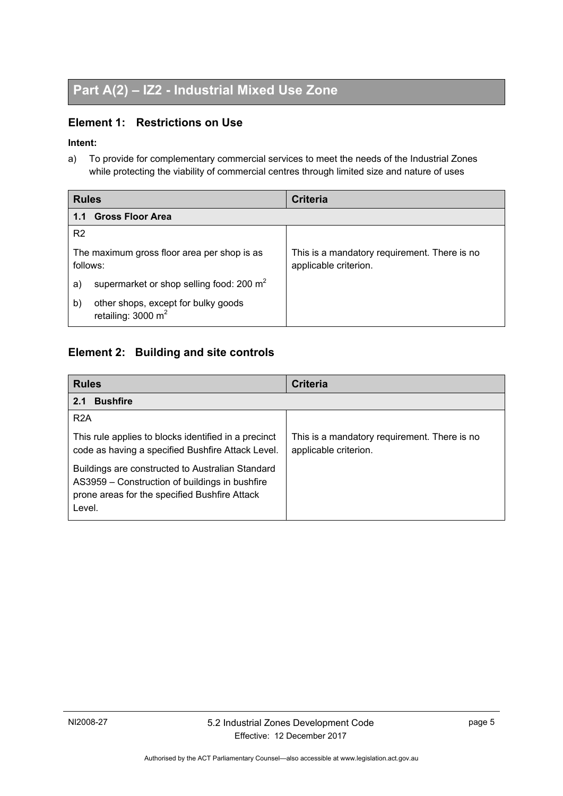# <span id="page-8-0"></span>**Part A(2) – IZ2 - Industrial Mixed Use Zone**

### <span id="page-8-1"></span>**Element 1: Restrictions on Use**

### **Intent:**

a) To provide for complementary commercial services to meet the needs of the Industrial Zones while protecting the viability of commercial centres through limited size and nature of uses

<span id="page-8-2"></span>

| <b>Rules</b>                                                               | <b>Criteria</b>                                                       |  |
|----------------------------------------------------------------------------|-----------------------------------------------------------------------|--|
| <b>Gross Floor Area</b><br>1.1                                             |                                                                       |  |
| R <sub>2</sub>                                                             |                                                                       |  |
| The maximum gross floor area per shop is as<br>follows:                    | This is a mandatory requirement. There is no<br>applicable criterion. |  |
| supermarket or shop selling food: 200 m <sup>2</sup><br>a)                 |                                                                       |  |
| other shops, except for bulky goods<br>b)<br>retailing: $3000 \text{ m}^2$ |                                                                       |  |

### <span id="page-8-3"></span>**Element 2: Building and site controls**

<span id="page-8-4"></span>

| <b>Rules</b>                                                                                                                                                  | <b>Criteria</b>                                                       |
|---------------------------------------------------------------------------------------------------------------------------------------------------------------|-----------------------------------------------------------------------|
| <b>Bushfire</b><br>2.1                                                                                                                                        |                                                                       |
| R <sub>2</sub> A                                                                                                                                              |                                                                       |
| This rule applies to blocks identified in a precinct<br>code as having a specified Bushfire Attack Level.                                                     | This is a mandatory requirement. There is no<br>applicable criterion. |
| Buildings are constructed to Australian Standard<br>AS3959 – Construction of buildings in bushfire<br>prone areas for the specified Bushfire Attack<br>Level. |                                                                       |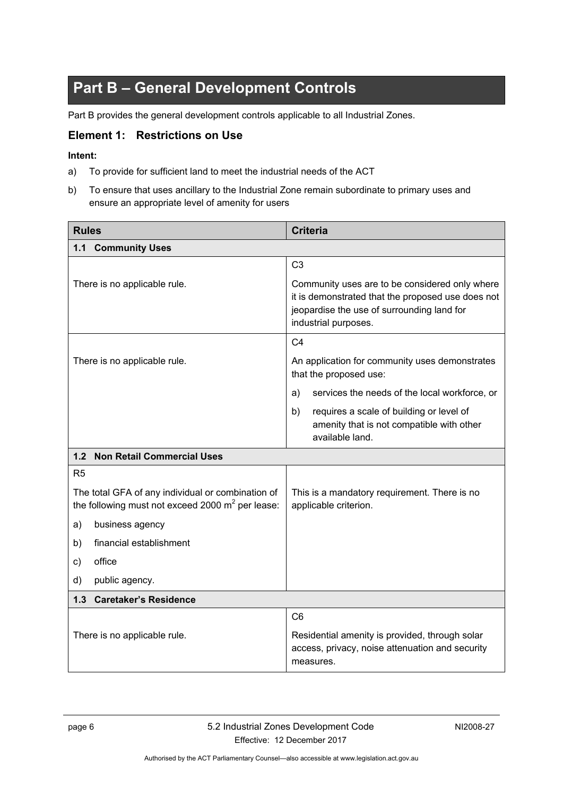# <span id="page-9-0"></span>**Part B – General Development Controls**

Part B provides the general development controls applicable to all Industrial Zones.

### <span id="page-9-1"></span>**Element 1: Restrictions on Use**

#### **Intent:**

- a) To provide for sufficient land to meet the industrial needs of the ACT
- b) To ensure that uses ancillary to the Industrial Zone remain subordinate to primary uses and ensure an appropriate level of amenity for users

<span id="page-9-3"></span><span id="page-9-2"></span>

| <b>Rules</b>                                                                                             | <b>Criteria</b>                                                                                                                                                                                                                                                     |  |
|----------------------------------------------------------------------------------------------------------|---------------------------------------------------------------------------------------------------------------------------------------------------------------------------------------------------------------------------------------------------------------------|--|
| 1.1 Community Uses                                                                                       |                                                                                                                                                                                                                                                                     |  |
| There is no applicable rule.                                                                             | C <sub>3</sub><br>Community uses are to be considered only where<br>it is demonstrated that the proposed use does not<br>jeopardise the use of surrounding land for<br>industrial purposes.                                                                         |  |
| There is no applicable rule.                                                                             | C <sub>4</sub><br>An application for community uses demonstrates<br>that the proposed use:<br>services the needs of the local workforce, or<br>a)<br>b)<br>requires a scale of building or level of<br>amenity that is not compatible with other<br>available land. |  |
| 1.2 Non Retail Commercial Uses                                                                           |                                                                                                                                                                                                                                                                     |  |
| R <sub>5</sub>                                                                                           |                                                                                                                                                                                                                                                                     |  |
| The total GFA of any individual or combination of<br>the following must not exceed 2000 $m^2$ per lease: | This is a mandatory requirement. There is no<br>applicable criterion.                                                                                                                                                                                               |  |
| business agency<br>a)                                                                                    |                                                                                                                                                                                                                                                                     |  |
| financial establishment<br>b)                                                                            |                                                                                                                                                                                                                                                                     |  |
| office<br>c)                                                                                             |                                                                                                                                                                                                                                                                     |  |
| d)<br>public agency.                                                                                     |                                                                                                                                                                                                                                                                     |  |
| 1.3 Caretaker's Residence                                                                                |                                                                                                                                                                                                                                                                     |  |
| There is no applicable rule.                                                                             | C <sub>6</sub><br>Residential amenity is provided, through solar<br>access, privacy, noise attenuation and security<br>measures.                                                                                                                                    |  |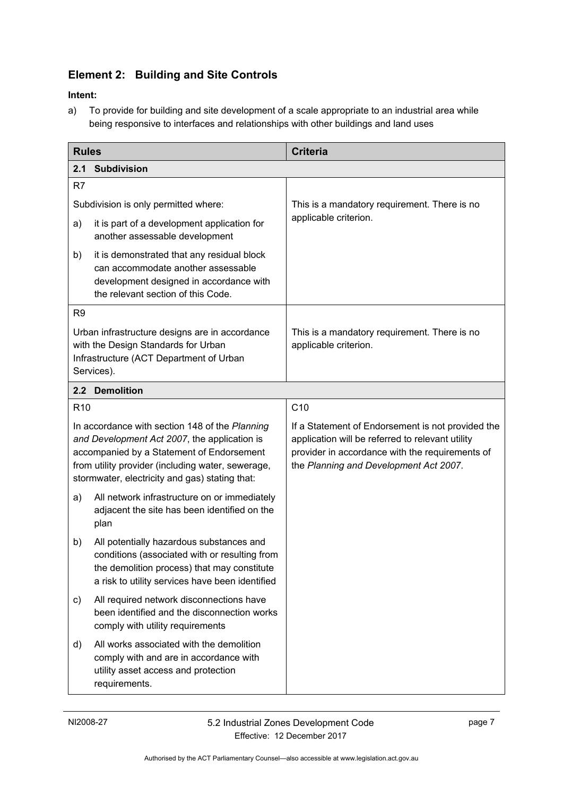## <span id="page-10-1"></span>**Element 2: Building and Site Controls**

### **Intent:**

a) To provide for building and site development of a scale appropriate to an industrial area while being responsive to interfaces and relationships with other buildings and land uses

<span id="page-10-3"></span><span id="page-10-2"></span>

| <b>Rules</b>                                                                                                                                                                                                                                       |                                                                                                                                                                                             | <b>Criteria</b>                                                                                                                                                                                    |  |
|----------------------------------------------------------------------------------------------------------------------------------------------------------------------------------------------------------------------------------------------------|---------------------------------------------------------------------------------------------------------------------------------------------------------------------------------------------|----------------------------------------------------------------------------------------------------------------------------------------------------------------------------------------------------|--|
| 2.1                                                                                                                                                                                                                                                | <b>Subdivision</b>                                                                                                                                                                          |                                                                                                                                                                                                    |  |
| R7                                                                                                                                                                                                                                                 |                                                                                                                                                                                             |                                                                                                                                                                                                    |  |
| Subdivision is only permitted where:                                                                                                                                                                                                               |                                                                                                                                                                                             | This is a mandatory requirement. There is no                                                                                                                                                       |  |
| a)                                                                                                                                                                                                                                                 | it is part of a development application for<br>another assessable development                                                                                                               | applicable criterion.                                                                                                                                                                              |  |
| b)                                                                                                                                                                                                                                                 | it is demonstrated that any residual block<br>can accommodate another assessable<br>development designed in accordance with<br>the relevant section of this Code.                           |                                                                                                                                                                                                    |  |
| R <sub>9</sub>                                                                                                                                                                                                                                     |                                                                                                                                                                                             |                                                                                                                                                                                                    |  |
| Urban infrastructure designs are in accordance<br>with the Design Standards for Urban<br>Infrastructure (ACT Department of Urban<br>Services).                                                                                                     |                                                                                                                                                                                             | This is a mandatory requirement. There is no<br>applicable criterion.                                                                                                                              |  |
|                                                                                                                                                                                                                                                    | 2.2 Demolition                                                                                                                                                                              |                                                                                                                                                                                                    |  |
| R <sub>10</sub>                                                                                                                                                                                                                                    |                                                                                                                                                                                             | C10                                                                                                                                                                                                |  |
| In accordance with section 148 of the Planning<br>and Development Act 2007, the application is<br>accompanied by a Statement of Endorsement<br>from utility provider (including water, sewerage,<br>stormwater, electricity and gas) stating that: |                                                                                                                                                                                             | If a Statement of Endorsement is not provided the<br>application will be referred to relevant utility<br>provider in accordance with the requirements of<br>the Planning and Development Act 2007. |  |
| a)                                                                                                                                                                                                                                                 | All network infrastructure on or immediately<br>adjacent the site has been identified on the<br>plan                                                                                        |                                                                                                                                                                                                    |  |
| b)                                                                                                                                                                                                                                                 | All potentially hazardous substances and<br>conditions (associated with or resulting from<br>the demolition process) that may constitute<br>a risk to utility services have been identified |                                                                                                                                                                                                    |  |
| c)                                                                                                                                                                                                                                                 | All required network disconnections have<br>been identified and the disconnection works<br>comply with utility requirements                                                                 |                                                                                                                                                                                                    |  |
| d)                                                                                                                                                                                                                                                 | All works associated with the demolition<br>comply with and are in accordance with<br>utility asset access and protection<br>requirements.                                                  |                                                                                                                                                                                                    |  |

<span id="page-10-0"></span>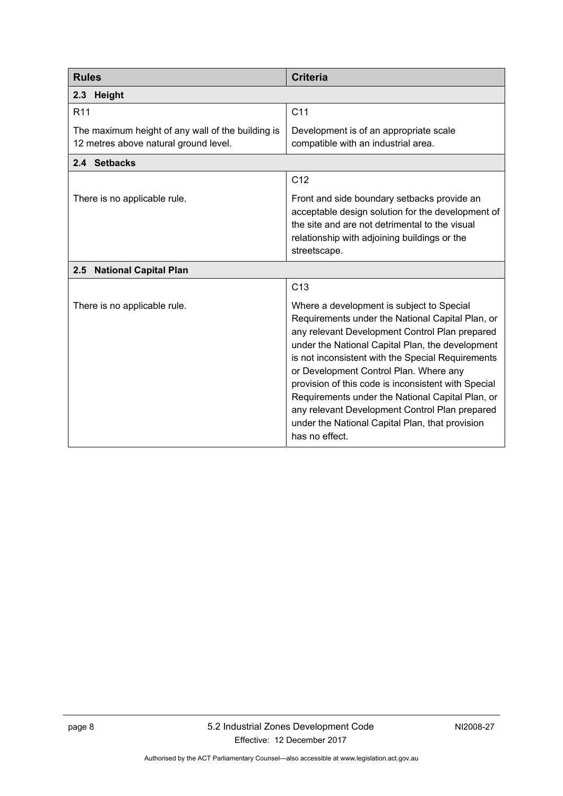<span id="page-11-2"></span><span id="page-11-1"></span><span id="page-11-0"></span>

| <b>Rules</b>                                                                               | <b>Criteria</b>                                                                                                                                                                                                                                                                                                                                                                                                                                                                                                                      |
|--------------------------------------------------------------------------------------------|--------------------------------------------------------------------------------------------------------------------------------------------------------------------------------------------------------------------------------------------------------------------------------------------------------------------------------------------------------------------------------------------------------------------------------------------------------------------------------------------------------------------------------------|
| Height<br>2.3                                                                              |                                                                                                                                                                                                                                                                                                                                                                                                                                                                                                                                      |
| R <sub>11</sub>                                                                            | C <sub>11</sub>                                                                                                                                                                                                                                                                                                                                                                                                                                                                                                                      |
| The maximum height of any wall of the building is<br>12 metres above natural ground level. | Development is of an appropriate scale<br>compatible with an industrial area.                                                                                                                                                                                                                                                                                                                                                                                                                                                        |
| 2.4 Setbacks                                                                               |                                                                                                                                                                                                                                                                                                                                                                                                                                                                                                                                      |
|                                                                                            | C <sub>12</sub>                                                                                                                                                                                                                                                                                                                                                                                                                                                                                                                      |
| There is no applicable rule.                                                               | Front and side boundary setbacks provide an<br>acceptable design solution for the development of<br>the site and are not detrimental to the visual<br>relationship with adjoining buildings or the<br>streetscape.                                                                                                                                                                                                                                                                                                                   |
| <b>National Capital Plan</b><br>2.5                                                        |                                                                                                                                                                                                                                                                                                                                                                                                                                                                                                                                      |
|                                                                                            | C13                                                                                                                                                                                                                                                                                                                                                                                                                                                                                                                                  |
| There is no applicable rule.                                                               | Where a development is subject to Special<br>Requirements under the National Capital Plan, or<br>any relevant Development Control Plan prepared<br>under the National Capital Plan, the development<br>is not inconsistent with the Special Requirements<br>or Development Control Plan. Where any<br>provision of this code is inconsistent with Special<br>Requirements under the National Capital Plan, or<br>any relevant Development Control Plan prepared<br>under the National Capital Plan, that provision<br>has no effect. |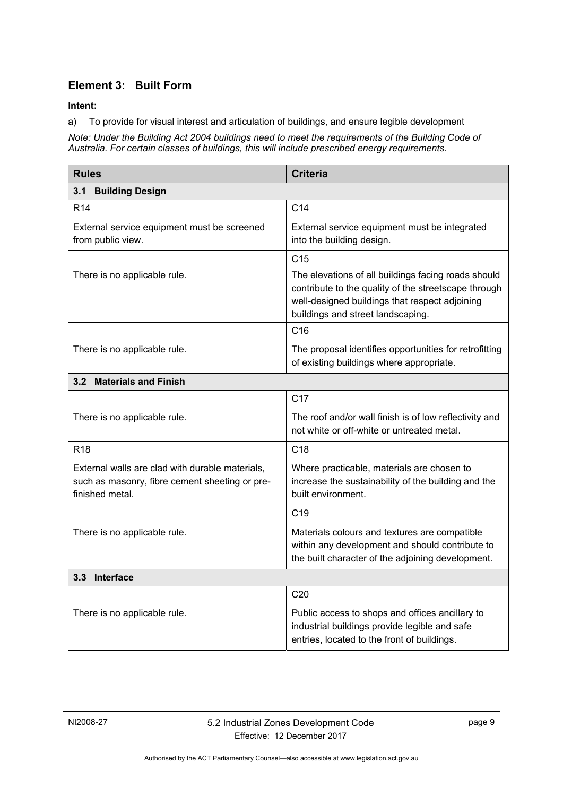### **Element 3: Built Form**

**Intent:** 

a) To provide for visual interest and articulation of buildings, and ensure legible development

*Note: Under the Building Act 2004 buildings need to meet the requirements of the Building Code of Australia. For certain classes of buildings, this will include prescribed energy requirements.* 

| <b>Rules</b>                                                                                                         | <b>Criteria</b>                                                                                                                                                                                    |  |  |
|----------------------------------------------------------------------------------------------------------------------|----------------------------------------------------------------------------------------------------------------------------------------------------------------------------------------------------|--|--|
| <b>Building Design</b><br>3.1                                                                                        |                                                                                                                                                                                                    |  |  |
| <b>R14</b>                                                                                                           | C <sub>14</sub>                                                                                                                                                                                    |  |  |
| External service equipment must be screened<br>from public view.                                                     | External service equipment must be integrated<br>into the building design.                                                                                                                         |  |  |
|                                                                                                                      | C <sub>15</sub>                                                                                                                                                                                    |  |  |
| There is no applicable rule.                                                                                         | The elevations of all buildings facing roads should<br>contribute to the quality of the streetscape through<br>well-designed buildings that respect adjoining<br>buildings and street landscaping. |  |  |
|                                                                                                                      | C16                                                                                                                                                                                                |  |  |
| There is no applicable rule.                                                                                         | The proposal identifies opportunities for retrofitting<br>of existing buildings where appropriate.                                                                                                 |  |  |
| 3.2 Materials and Finish                                                                                             |                                                                                                                                                                                                    |  |  |
|                                                                                                                      | C <sub>17</sub>                                                                                                                                                                                    |  |  |
| There is no applicable rule.                                                                                         | The roof and/or wall finish is of low reflectivity and<br>not white or off-white or untreated metal.                                                                                               |  |  |
| <b>R18</b>                                                                                                           | C <sub>18</sub>                                                                                                                                                                                    |  |  |
| External walls are clad with durable materials,<br>such as masonry, fibre cement sheeting or pre-<br>finished metal. | Where practicable, materials are chosen to<br>increase the sustainability of the building and the<br>built environment.                                                                            |  |  |
|                                                                                                                      | C <sub>19</sub>                                                                                                                                                                                    |  |  |
| There is no applicable rule.                                                                                         | Materials colours and textures are compatible<br>within any development and should contribute to<br>the built character of the adjoining development.                                              |  |  |
| 3.3 Interface                                                                                                        |                                                                                                                                                                                                    |  |  |
|                                                                                                                      | C <sub>20</sub>                                                                                                                                                                                    |  |  |
| There is no applicable rule.                                                                                         | Public access to shops and offices ancillary to<br>industrial buildings provide legible and safe<br>entries, located to the front of buildings.                                                    |  |  |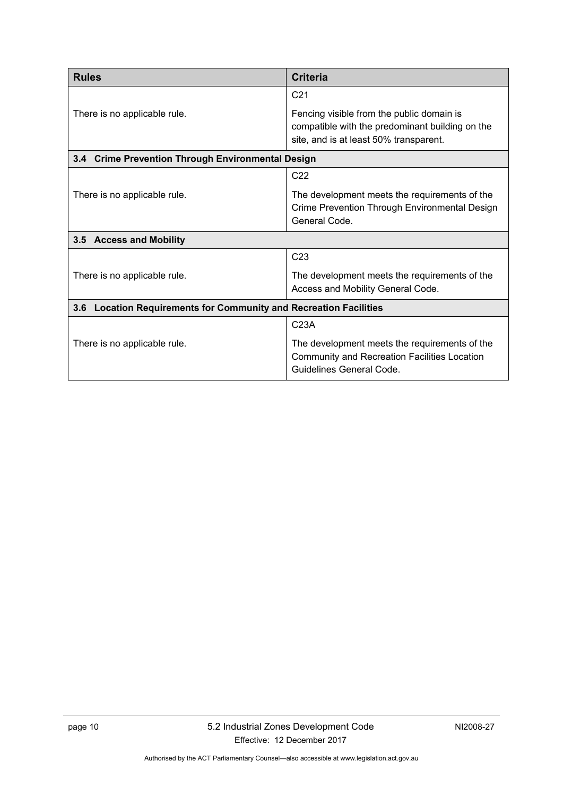<span id="page-13-2"></span><span id="page-13-1"></span><span id="page-13-0"></span>

| <b>Rules</b>                                                      | <b>Criteria</b>                                                                                                                        |  |
|-------------------------------------------------------------------|----------------------------------------------------------------------------------------------------------------------------------------|--|
|                                                                   | C <sub>21</sub>                                                                                                                        |  |
| There is no applicable rule.                                      | Fencing visible from the public domain is<br>compatible with the predominant building on the<br>site, and is at least 50% transparent. |  |
| 3.4 Crime Prevention Through Environmental Design                 |                                                                                                                                        |  |
|                                                                   | C <sub>22</sub>                                                                                                                        |  |
| There is no applicable rule.                                      | The development meets the requirements of the<br>Crime Prevention Through Environmental Design<br>General Code.                        |  |
| 3.5 Access and Mobility                                           |                                                                                                                                        |  |
|                                                                   | C <sub>23</sub>                                                                                                                        |  |
| There is no applicable rule.                                      | The development meets the requirements of the<br>Access and Mobility General Code.                                                     |  |
| 3.6 Location Requirements for Community and Recreation Facilities |                                                                                                                                        |  |
|                                                                   | C <sub>23A</sub>                                                                                                                       |  |
| There is no applicable rule.                                      | The development meets the requirements of the<br>Community and Recreation Facilities Location<br>Guidelines General Code.              |  |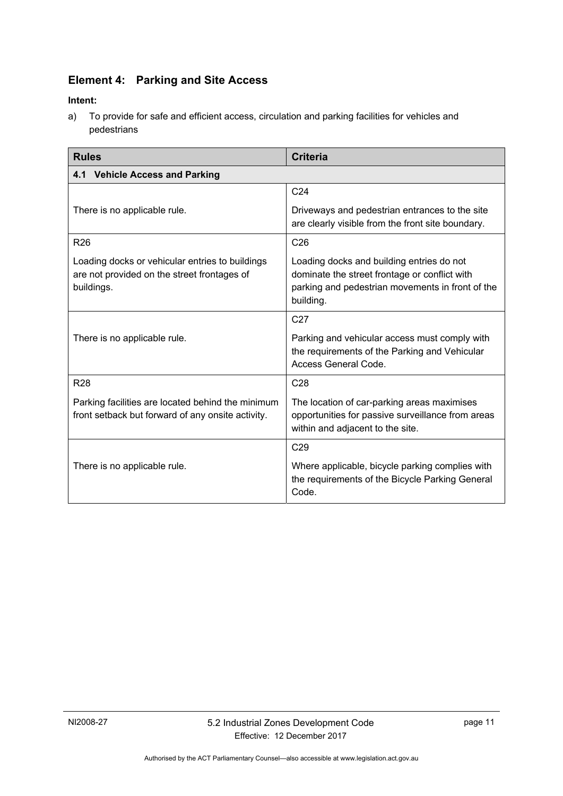# **Element 4: Parking and Site Access**

### **Intent:**

a) To provide for safe and efficient access, circulation and parking facilities for vehicles and pedestrians

<span id="page-14-3"></span><span id="page-14-2"></span><span id="page-14-1"></span><span id="page-14-0"></span>

| <b>Rules</b>                                                                                                 | <b>Criteria</b>                                                                                                                                             |  |
|--------------------------------------------------------------------------------------------------------------|-------------------------------------------------------------------------------------------------------------------------------------------------------------|--|
| 4.1 Vehicle Access and Parking                                                                               |                                                                                                                                                             |  |
|                                                                                                              | C <sub>24</sub>                                                                                                                                             |  |
| There is no applicable rule.                                                                                 | Driveways and pedestrian entrances to the site<br>are clearly visible from the front site boundary.                                                         |  |
| <b>R26</b>                                                                                                   | C <sub>26</sub>                                                                                                                                             |  |
| Loading docks or vehicular entries to buildings<br>are not provided on the street frontages of<br>buildings. | Loading docks and building entries do not<br>dominate the street frontage or conflict with<br>parking and pedestrian movements in front of the<br>building. |  |
|                                                                                                              | C <sub>27</sub>                                                                                                                                             |  |
| There is no applicable rule.                                                                                 | Parking and vehicular access must comply with<br>the requirements of the Parking and Vehicular<br>Access General Code.                                      |  |
| <b>R28</b>                                                                                                   | C <sub>28</sub>                                                                                                                                             |  |
| Parking facilities are located behind the minimum<br>front setback but forward of any onsite activity.       | The location of car-parking areas maximises<br>opportunities for passive surveillance from areas<br>within and adjacent to the site.                        |  |
|                                                                                                              | C <sub>29</sub>                                                                                                                                             |  |
| There is no applicable rule.                                                                                 | Where applicable, bicycle parking complies with<br>the requirements of the Bicycle Parking General<br>Code.                                                 |  |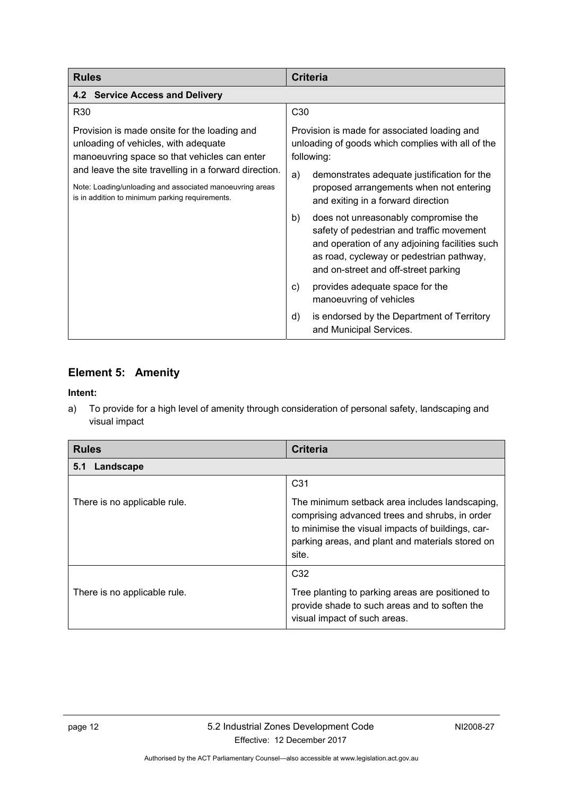<span id="page-15-1"></span><span id="page-15-0"></span>

| <b>Rules</b>                                                                                                                                                         | <b>Criteria</b>                                                                                                                                                                                                               |  |
|----------------------------------------------------------------------------------------------------------------------------------------------------------------------|-------------------------------------------------------------------------------------------------------------------------------------------------------------------------------------------------------------------------------|--|
| 4.2 Service Access and Delivery                                                                                                                                      |                                                                                                                                                                                                                               |  |
| R <sub>30</sub>                                                                                                                                                      | C <sub>30</sub>                                                                                                                                                                                                               |  |
| Provision is made onsite for the loading and<br>unloading of vehicles, with adequate<br>manoeuvring space so that vehicles can enter                                 | Provision is made for associated loading and<br>unloading of goods which complies with all of the<br>following:                                                                                                               |  |
| and leave the site travelling in a forward direction.<br>Note: Loading/unloading and associated manoeuvring areas<br>is in addition to minimum parking requirements. | demonstrates adequate justification for the<br>a)<br>proposed arrangements when not entering<br>and exiting in a forward direction                                                                                            |  |
|                                                                                                                                                                      | does not unreasonably compromise the<br>b)<br>safety of pedestrian and traffic movement<br>and operation of any adjoining facilities such<br>as road, cycleway or pedestrian pathway,<br>and on-street and off-street parking |  |
|                                                                                                                                                                      | provides adequate space for the<br>C)<br>manoeuvring of vehicles                                                                                                                                                              |  |
|                                                                                                                                                                      | is endorsed by the Department of Territory<br>d)<br>and Municipal Services.                                                                                                                                                   |  |

### **Element 5: Amenity**

### **Intent:**

a) To provide for a high level of amenity through consideration of personal safety, landscaping and visual impact

| <b>Rules</b>                 | <b>Criteria</b>                                                                                                                                                                                                    |
|------------------------------|--------------------------------------------------------------------------------------------------------------------------------------------------------------------------------------------------------------------|
| Landscape<br>5.1             |                                                                                                                                                                                                                    |
|                              | C <sub>31</sub>                                                                                                                                                                                                    |
| There is no applicable rule. | The minimum setback area includes landscaping,<br>comprising advanced trees and shrubs, in order<br>to minimise the visual impacts of buildings, car-<br>parking areas, and plant and materials stored on<br>site. |
|                              | C <sub>32</sub>                                                                                                                                                                                                    |
| There is no applicable rule. | Tree planting to parking areas are positioned to<br>provide shade to such areas and to soften the<br>visual impact of such areas.                                                                                  |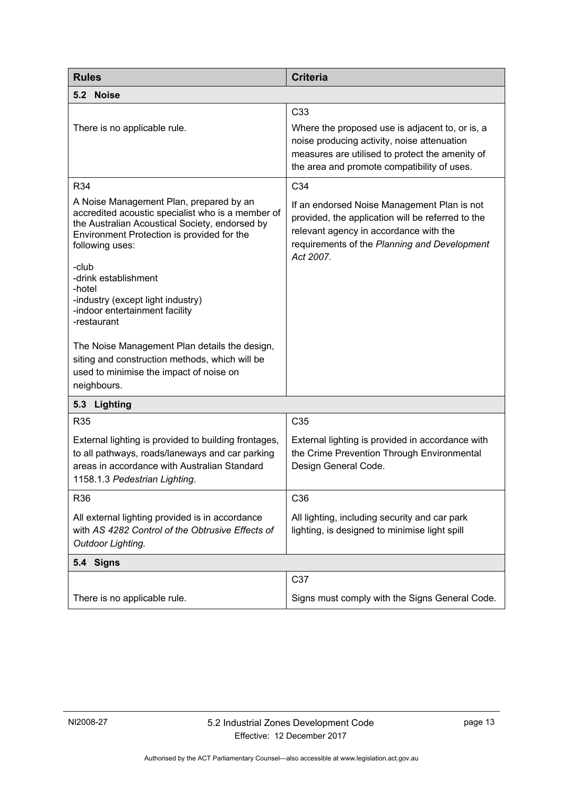<span id="page-16-2"></span><span id="page-16-1"></span><span id="page-16-0"></span>

| <b>Rules</b>                                                                                                                                                                                                                                                                                                                                                                                                                                                                                                  | <b>Criteria</b>                                                                                                                                                                                                     |
|---------------------------------------------------------------------------------------------------------------------------------------------------------------------------------------------------------------------------------------------------------------------------------------------------------------------------------------------------------------------------------------------------------------------------------------------------------------------------------------------------------------|---------------------------------------------------------------------------------------------------------------------------------------------------------------------------------------------------------------------|
| 5.2 Noise                                                                                                                                                                                                                                                                                                                                                                                                                                                                                                     |                                                                                                                                                                                                                     |
| There is no applicable rule.                                                                                                                                                                                                                                                                                                                                                                                                                                                                                  | C <sub>33</sub><br>Where the proposed use is adjacent to, or is, a<br>noise producing activity, noise attenuation<br>measures are utilised to protect the amenity of<br>the area and promote compatibility of uses. |
| R34                                                                                                                                                                                                                                                                                                                                                                                                                                                                                                           | C34                                                                                                                                                                                                                 |
| A Noise Management Plan, prepared by an<br>accredited acoustic specialist who is a member of<br>the Australian Acoustical Society, endorsed by<br>Environment Protection is provided for the<br>following uses:<br>-club<br>-drink establishment<br>-hotel<br>-industry (except light industry)<br>-indoor entertainment facility<br>-restaurant<br>The Noise Management Plan details the design,<br>siting and construction methods, which will be<br>used to minimise the impact of noise on<br>neighbours. | If an endorsed Noise Management Plan is not<br>provided, the application will be referred to the<br>relevant agency in accordance with the<br>requirements of the Planning and Development<br>Act 2007.             |
| Lighting<br>5.3                                                                                                                                                                                                                                                                                                                                                                                                                                                                                               |                                                                                                                                                                                                                     |
| <b>R35</b>                                                                                                                                                                                                                                                                                                                                                                                                                                                                                                    | C <sub>35</sub>                                                                                                                                                                                                     |
| External lighting is provided to building frontages,<br>to all pathways, roads/laneways and car parking<br>areas in accordance with Australian Standard<br>1158.1.3 Pedestrian Lighting.                                                                                                                                                                                                                                                                                                                      | External lighting is provided in accordance with<br>the Crime Prevention Through Environmental<br>Design General Code.                                                                                              |
| R36                                                                                                                                                                                                                                                                                                                                                                                                                                                                                                           | C36                                                                                                                                                                                                                 |
| All external lighting provided is in accordance<br>with AS 4282 Control of the Obtrusive Effects of<br>Outdoor Lighting.                                                                                                                                                                                                                                                                                                                                                                                      | All lighting, including security and car park<br>lighting, is designed to minimise light spill                                                                                                                      |
| 5.4 Signs                                                                                                                                                                                                                                                                                                                                                                                                                                                                                                     |                                                                                                                                                                                                                     |
| There is no applicable rule.                                                                                                                                                                                                                                                                                                                                                                                                                                                                                  | C37<br>Signs must comply with the Signs General Code.                                                                                                                                                               |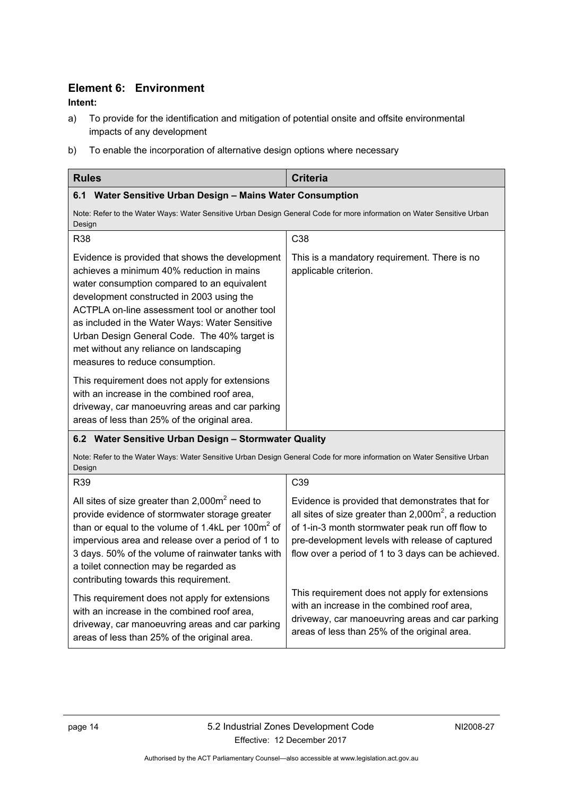### **Element 6: Environment**

### <span id="page-17-0"></span>**Intent:**

- a) To provide for the identification and mitigation of potential onsite and offsite environmental impacts of any development
- b) To enable the incorporation of alternative design options where necessary

<span id="page-17-2"></span><span id="page-17-1"></span>

| <b>Rules</b>                                                                                                                                                                                                                                                                                                                                                                                                               | <b>Criteria</b>                                                                                                                                                                                                                                                        |
|----------------------------------------------------------------------------------------------------------------------------------------------------------------------------------------------------------------------------------------------------------------------------------------------------------------------------------------------------------------------------------------------------------------------------|------------------------------------------------------------------------------------------------------------------------------------------------------------------------------------------------------------------------------------------------------------------------|
| 6.1 Water Sensitive Urban Design - Mains Water Consumption                                                                                                                                                                                                                                                                                                                                                                 |                                                                                                                                                                                                                                                                        |
| Note: Refer to the Water Ways: Water Sensitive Urban Design General Code for more information on Water Sensitive Urban<br>Design                                                                                                                                                                                                                                                                                           |                                                                                                                                                                                                                                                                        |
| R38                                                                                                                                                                                                                                                                                                                                                                                                                        | C <sub>38</sub>                                                                                                                                                                                                                                                        |
| Evidence is provided that shows the development<br>achieves a minimum 40% reduction in mains<br>water consumption compared to an equivalent<br>development constructed in 2003 using the<br>ACTPLA on-line assessment tool or another tool<br>as included in the Water Ways: Water Sensitive<br>Urban Design General Code. The 40% target is<br>met without any reliance on landscaping<br>measures to reduce consumption. | This is a mandatory requirement. There is no<br>applicable criterion.                                                                                                                                                                                                  |
| This requirement does not apply for extensions<br>with an increase in the combined roof area,<br>driveway, car manoeuvring areas and car parking<br>areas of less than 25% of the original area.                                                                                                                                                                                                                           |                                                                                                                                                                                                                                                                        |
| 6.2 Water Sensitive Urban Design - Stormwater Quality                                                                                                                                                                                                                                                                                                                                                                      |                                                                                                                                                                                                                                                                        |
| Note: Refer to the Water Ways: Water Sensitive Urban Design General Code for more information on Water Sensitive Urban<br>Design                                                                                                                                                                                                                                                                                           |                                                                                                                                                                                                                                                                        |
| R39                                                                                                                                                                                                                                                                                                                                                                                                                        | C39                                                                                                                                                                                                                                                                    |
| All sites of size greater than $2,000\,\text{m}^2$ need to<br>provide evidence of stormwater storage greater<br>than or equal to the volume of 1.4kL per 100 $m2$ of<br>impervious area and release over a period of 1 to<br>3 days. 50% of the volume of rainwater tanks with<br>a toilet connection may be regarded as<br>contributing towards this requirement.                                                         | Evidence is provided that demonstrates that for<br>all sites of size greater than $2,000m^2$ , a reduction<br>of 1-in-3 month stormwater peak run off flow to<br>pre-development levels with release of captured<br>flow over a period of 1 to 3 days can be achieved. |
| This requirement does not apply for extensions<br>with an increase in the combined roof area,<br>driveway, car manoeuvring areas and car parking<br>areas of less than 25% of the original area.                                                                                                                                                                                                                           | This requirement does not apply for extensions<br>with an increase in the combined roof area,<br>driveway, car manoeuvring areas and car parking<br>areas of less than 25% of the original area.                                                                       |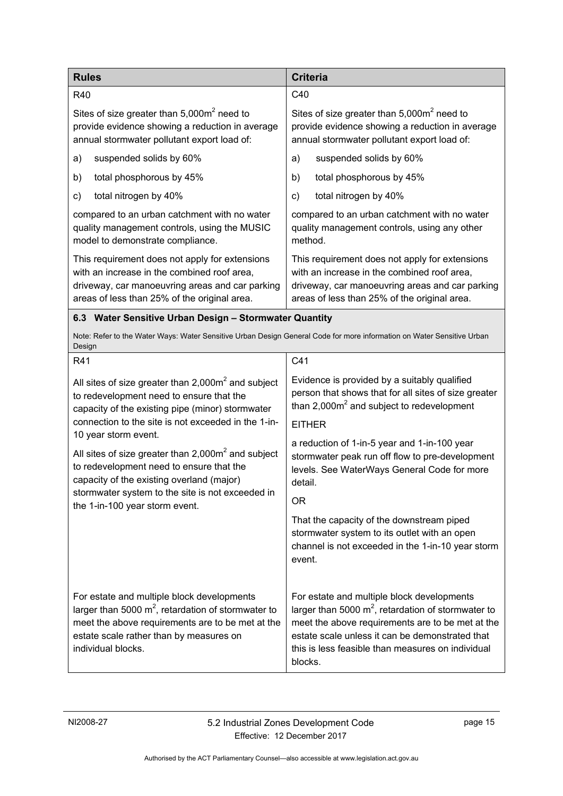| <b>Rules</b>                                                                                                                                                                                                             | <b>Criteria</b>                                                                                                                                                                                                                                                            |
|--------------------------------------------------------------------------------------------------------------------------------------------------------------------------------------------------------------------------|----------------------------------------------------------------------------------------------------------------------------------------------------------------------------------------------------------------------------------------------------------------------------|
| R40                                                                                                                                                                                                                      | C40                                                                                                                                                                                                                                                                        |
| Sites of size greater than $5,000m^2$ need to<br>provide evidence showing a reduction in average<br>annual stormwater pollutant export load of:                                                                          | Sites of size greater than $5,000m^2$ need to<br>provide evidence showing a reduction in average<br>annual stormwater pollutant export load of:                                                                                                                            |
| suspended solids by 60%<br>a)                                                                                                                                                                                            | suspended solids by 60%<br>a)                                                                                                                                                                                                                                              |
| total phosphorous by 45%<br>b)                                                                                                                                                                                           | total phosphorous by 45%<br>b)                                                                                                                                                                                                                                             |
| total nitrogen by 40%<br>c)                                                                                                                                                                                              | total nitrogen by 40%<br>c)                                                                                                                                                                                                                                                |
| compared to an urban catchment with no water<br>quality management controls, using the MUSIC<br>model to demonstrate compliance.                                                                                         | compared to an urban catchment with no water<br>quality management controls, using any other<br>method.                                                                                                                                                                    |
| This requirement does not apply for extensions<br>with an increase in the combined roof area,<br>driveway, car manoeuvring areas and car parking<br>areas of less than 25% of the original area.                         | This requirement does not apply for extensions<br>with an increase in the combined roof area.<br>driveway, car manoeuvring areas and car parking<br>areas of less than 25% of the original area.                                                                           |
| 6.3 Water Sensitive Urban Design - Stormwater Quantity                                                                                                                                                                   |                                                                                                                                                                                                                                                                            |
| Note: Refer to the Water Ways: Water Sensitive Urban Design General Code for more information on Water Sensitive Urban<br>Design                                                                                         |                                                                                                                                                                                                                                                                            |
| R41                                                                                                                                                                                                                      | C41                                                                                                                                                                                                                                                                        |
| All sites of size greater than $2,000m^2$ and subject<br>to redevelopment need to ensure that the<br>capacity of the existing pipe (minor) stormwater                                                                    | Evidence is provided by a suitably qualified<br>person that shows that for all sites of size greater<br>than $2,000m^2$ and subject to redevelopment                                                                                                                       |
| connection to the site is not exceeded in the 1-in-<br>10 year storm event.                                                                                                                                              | <b>EITHER</b>                                                                                                                                                                                                                                                              |
| All sites of size greater than $2,000m^2$ and subject<br>to redevelopment need to ensure that the<br>capacity of the existing overland (major)                                                                           | a reduction of 1-in-5 year and 1-in-100 year<br>stormwater peak run off flow to pre-development<br>levels. See WaterWays General Code for more<br>detail.                                                                                                                  |
| stormwater system to the site is not exceeded in<br>the 1-in-100 year storm event.                                                                                                                                       | ΟR                                                                                                                                                                                                                                                                         |
|                                                                                                                                                                                                                          | That the capacity of the downstream piped<br>stormwater system to its outlet with an open<br>channel is not exceeded in the 1-in-10 year storm<br>event.                                                                                                                   |
| For estate and multiple block developments<br>larger than 5000 $m^2$ , retardation of stormwater to<br>meet the above requirements are to be met at the<br>estate scale rather than by measures on<br>individual blocks. | For estate and multiple block developments<br>larger than 5000 $m^2$ , retardation of stormwater to<br>meet the above requirements are to be met at the<br>estate scale unless it can be demonstrated that<br>this is less feasible than measures on individual<br>blocks. |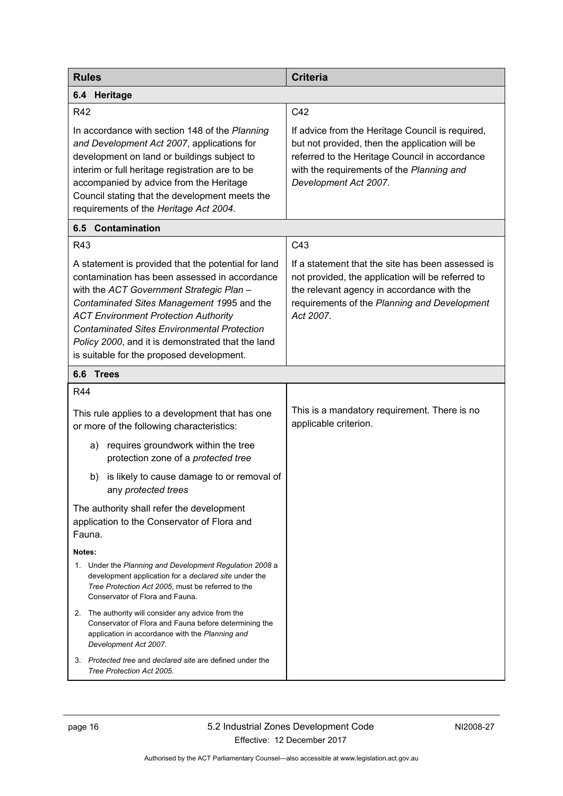<span id="page-19-2"></span><span id="page-19-1"></span><span id="page-19-0"></span>

| <b>Rules</b>                                                                                                                                                                                                                                                                                                                                                                                          | <b>Criteria</b>                                                                                                                                                                                                            |
|-------------------------------------------------------------------------------------------------------------------------------------------------------------------------------------------------------------------------------------------------------------------------------------------------------------------------------------------------------------------------------------------------------|----------------------------------------------------------------------------------------------------------------------------------------------------------------------------------------------------------------------------|
| 6.4 Heritage                                                                                                                                                                                                                                                                                                                                                                                          |                                                                                                                                                                                                                            |
| <b>R42</b>                                                                                                                                                                                                                                                                                                                                                                                            | C42                                                                                                                                                                                                                        |
| In accordance with section 148 of the Planning<br>and Development Act 2007, applications for<br>development on land or buildings subject to<br>interim or full heritage registration are to be<br>accompanied by advice from the Heritage<br>Council stating that the development meets the<br>requirements of the Heritage Act 2004.                                                                 | If advice from the Heritage Council is required,<br>but not provided, then the application will be<br>referred to the Heritage Council in accordance<br>with the requirements of the Planning and<br>Development Act 2007. |
| 6.5 Contamination                                                                                                                                                                                                                                                                                                                                                                                     |                                                                                                                                                                                                                            |
| R43                                                                                                                                                                                                                                                                                                                                                                                                   | C43                                                                                                                                                                                                                        |
| A statement is provided that the potential for land<br>contamination has been assessed in accordance<br>with the ACT Government Strategic Plan -<br>Contaminated Sites Management 1995 and the<br><b>ACT Environment Protection Authority</b><br><b>Contaminated Sites Environmental Protection</b><br>Policy 2000, and it is demonstrated that the land<br>is suitable for the proposed development. | If a statement that the site has been assessed is<br>not provided, the application will be referred to<br>the relevant agency in accordance with the<br>requirements of the Planning and Development<br>Act 2007.          |
| 6.6<br><b>Trees</b>                                                                                                                                                                                                                                                                                                                                                                                   |                                                                                                                                                                                                                            |
| <b>R44</b>                                                                                                                                                                                                                                                                                                                                                                                            |                                                                                                                                                                                                                            |
| This rule applies to a development that has one<br>or more of the following characteristics:                                                                                                                                                                                                                                                                                                          | This is a mandatory requirement. There is no<br>applicable criterion.                                                                                                                                                      |
| requires groundwork within the tree<br>a)<br>protection zone of a protected tree                                                                                                                                                                                                                                                                                                                      |                                                                                                                                                                                                                            |
| is likely to cause damage to or removal of<br>b)<br>any protected trees                                                                                                                                                                                                                                                                                                                               |                                                                                                                                                                                                                            |
| The authority shall refer the development<br>application to the Conservator of Flora and<br>Fauna.                                                                                                                                                                                                                                                                                                    |                                                                                                                                                                                                                            |
| Notes:                                                                                                                                                                                                                                                                                                                                                                                                |                                                                                                                                                                                                                            |
| 1. Under the Planning and Development Regulation 2008 a<br>development application for a <i>declared site</i> under the<br>Tree Protection Act 2005, must be referred to the<br>Conservator of Flora and Fauna.                                                                                                                                                                                       |                                                                                                                                                                                                                            |
| 2. The authority will consider any advice from the<br>Conservator of Flora and Fauna before determining the<br>application in accordance with the Planning and<br>Development Act 2007.                                                                                                                                                                                                               |                                                                                                                                                                                                                            |
| Protected tree and declared site are defined under the<br>3.<br>Tree Protection Act 2005.                                                                                                                                                                                                                                                                                                             |                                                                                                                                                                                                                            |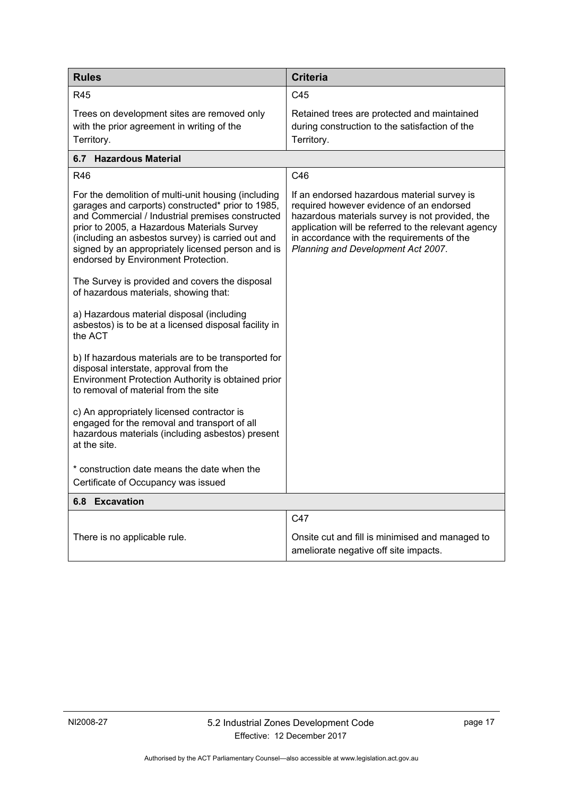<span id="page-20-0"></span>

| <b>Rules</b>                                                                                                                                                                                                                                                                                                                                                 | <b>Criteria</b>                                                                                                                                                                                                                                                                       |
|--------------------------------------------------------------------------------------------------------------------------------------------------------------------------------------------------------------------------------------------------------------------------------------------------------------------------------------------------------------|---------------------------------------------------------------------------------------------------------------------------------------------------------------------------------------------------------------------------------------------------------------------------------------|
| <b>R45</b>                                                                                                                                                                                                                                                                                                                                                   | C45                                                                                                                                                                                                                                                                                   |
| Trees on development sites are removed only<br>with the prior agreement in writing of the<br>Territory.                                                                                                                                                                                                                                                      | Retained trees are protected and maintained<br>during construction to the satisfaction of the<br>Territory.                                                                                                                                                                           |
| 6.7 Hazardous Material                                                                                                                                                                                                                                                                                                                                       |                                                                                                                                                                                                                                                                                       |
| <b>R46</b>                                                                                                                                                                                                                                                                                                                                                   | C46                                                                                                                                                                                                                                                                                   |
| For the demolition of multi-unit housing (including<br>garages and carports) constructed* prior to 1985,<br>and Commercial / Industrial premises constructed<br>prior to 2005, a Hazardous Materials Survey<br>(including an asbestos survey) is carried out and<br>signed by an appropriately licensed person and is<br>endorsed by Environment Protection. | If an endorsed hazardous material survey is<br>required however evidence of an endorsed<br>hazardous materials survey is not provided, the<br>application will be referred to the relevant agency<br>in accordance with the requirements of the<br>Planning and Development Act 2007. |
| The Survey is provided and covers the disposal<br>of hazardous materials, showing that:                                                                                                                                                                                                                                                                      |                                                                                                                                                                                                                                                                                       |
| a) Hazardous material disposal (including<br>asbestos) is to be at a licensed disposal facility in<br>the ACT                                                                                                                                                                                                                                                |                                                                                                                                                                                                                                                                                       |
| b) If hazardous materials are to be transported for<br>disposal interstate, approval from the<br>Environment Protection Authority is obtained prior<br>to removal of material from the site                                                                                                                                                                  |                                                                                                                                                                                                                                                                                       |
| c) An appropriately licensed contractor is<br>engaged for the removal and transport of all<br>hazardous materials (including asbestos) present<br>at the site.                                                                                                                                                                                               |                                                                                                                                                                                                                                                                                       |
| * construction date means the date when the                                                                                                                                                                                                                                                                                                                  |                                                                                                                                                                                                                                                                                       |
| Certificate of Occupancy was issued                                                                                                                                                                                                                                                                                                                          |                                                                                                                                                                                                                                                                                       |
| 6.8 Excavation                                                                                                                                                                                                                                                                                                                                               |                                                                                                                                                                                                                                                                                       |
|                                                                                                                                                                                                                                                                                                                                                              | C47                                                                                                                                                                                                                                                                                   |
| There is no applicable rule.                                                                                                                                                                                                                                                                                                                                 | Onsite cut and fill is minimised and managed to<br>ameliorate negative off site impacts.                                                                                                                                                                                              |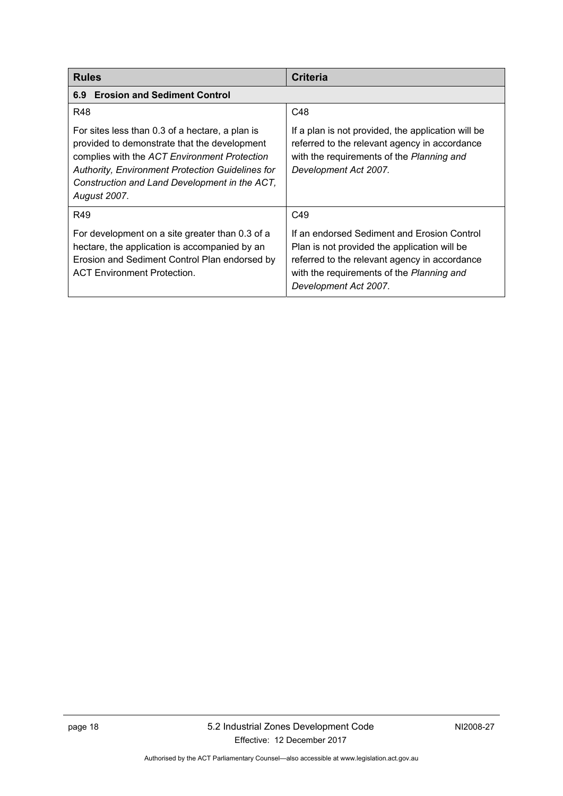<span id="page-21-2"></span><span id="page-21-1"></span><span id="page-21-0"></span>

| <b>Rules</b>                                                                                                                                                                                                                                                                       | <b>Criteria</b>                                                                                                                                                                                                    |
|------------------------------------------------------------------------------------------------------------------------------------------------------------------------------------------------------------------------------------------------------------------------------------|--------------------------------------------------------------------------------------------------------------------------------------------------------------------------------------------------------------------|
| <b>Erosion and Sediment Control</b><br>6.9                                                                                                                                                                                                                                         |                                                                                                                                                                                                                    |
| R48                                                                                                                                                                                                                                                                                | C48                                                                                                                                                                                                                |
| For sites less than 0.3 of a hectare, a plan is<br>provided to demonstrate that the development<br>complies with the ACT Environment Protection<br><b>Authority, Environment Protection Guidelines for</b><br>Construction and Land Development in the ACT,<br><b>August 2007.</b> | If a plan is not provided, the application will be<br>referred to the relevant agency in accordance<br>with the requirements of the Planning and<br>Development Act 2007.                                          |
| R49                                                                                                                                                                                                                                                                                | C49                                                                                                                                                                                                                |
| For development on a site greater than 0.3 of a<br>hectare, the application is accompanied by an<br>Erosion and Sediment Control Plan endorsed by<br><b>ACT Environment Protection.</b>                                                                                            | If an endorsed Sediment and Erosion Control<br>Plan is not provided the application will be<br>referred to the relevant agency in accordance<br>with the requirements of the Planning and<br>Development Act 2007. |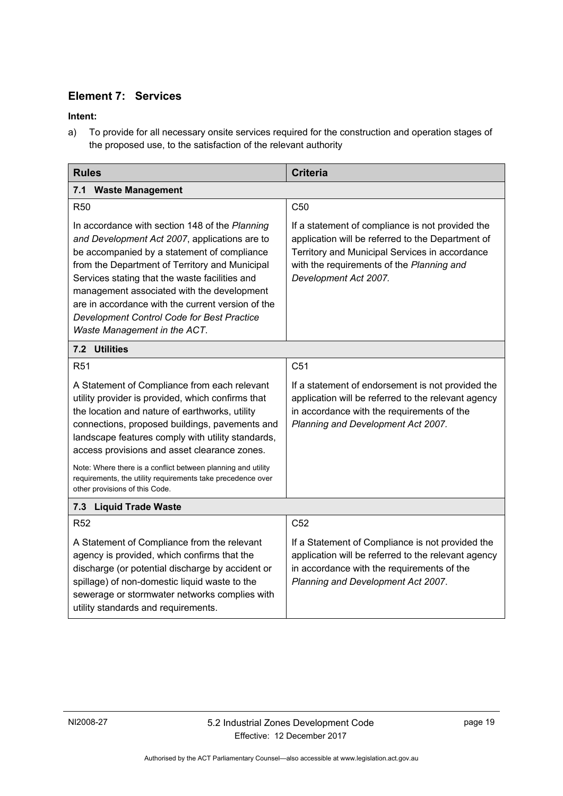### **Element 7: Services**

### **Intent:**

a) To provide for all necessary onsite services required for the construction and operation stages of the proposed use, to the satisfaction of the relevant authority

<span id="page-22-1"></span><span id="page-22-0"></span>

| <b>Rules</b>                                                                                                                                                                                                                                                                                                                                                                                                                               | <b>Criteria</b>                                                                                                                                                                                                               |
|--------------------------------------------------------------------------------------------------------------------------------------------------------------------------------------------------------------------------------------------------------------------------------------------------------------------------------------------------------------------------------------------------------------------------------------------|-------------------------------------------------------------------------------------------------------------------------------------------------------------------------------------------------------------------------------|
| <b>Waste Management</b><br>7.1                                                                                                                                                                                                                                                                                                                                                                                                             |                                                                                                                                                                                                                               |
| <b>R50</b>                                                                                                                                                                                                                                                                                                                                                                                                                                 | C <sub>50</sub>                                                                                                                                                                                                               |
| In accordance with section 148 of the Planning<br>and Development Act 2007, applications are to<br>be accompanied by a statement of compliance<br>from the Department of Territory and Municipal<br>Services stating that the waste facilities and<br>management associated with the development<br>are in accordance with the current version of the<br><b>Development Control Code for Best Practice</b><br>Waste Management in the ACT. | If a statement of compliance is not provided the<br>application will be referred to the Department of<br>Territory and Municipal Services in accordance<br>with the requirements of the Planning and<br>Development Act 2007. |
| <b>Utilities</b><br>7.2                                                                                                                                                                                                                                                                                                                                                                                                                    |                                                                                                                                                                                                                               |
| R <sub>51</sub>                                                                                                                                                                                                                                                                                                                                                                                                                            | C <sub>51</sub>                                                                                                                                                                                                               |
| A Statement of Compliance from each relevant<br>utility provider is provided, which confirms that<br>the location and nature of earthworks, utility<br>connections, proposed buildings, pavements and<br>landscape features comply with utility standards,<br>access provisions and asset clearance zones.                                                                                                                                 | If a statement of endorsement is not provided the<br>application will be referred to the relevant agency<br>in accordance with the requirements of the<br>Planning and Development Act 2007.                                  |
| Note: Where there is a conflict between planning and utility<br>requirements, the utility requirements take precedence over<br>other provisions of this Code.                                                                                                                                                                                                                                                                              |                                                                                                                                                                                                                               |
| 7.3<br><b>Liquid Trade Waste</b>                                                                                                                                                                                                                                                                                                                                                                                                           |                                                                                                                                                                                                                               |
| <b>R52</b>                                                                                                                                                                                                                                                                                                                                                                                                                                 | C <sub>52</sub>                                                                                                                                                                                                               |
| A Statement of Compliance from the relevant<br>agency is provided, which confirms that the<br>discharge (or potential discharge by accident or<br>spillage) of non-domestic liquid waste to the<br>sewerage or stormwater networks complies with<br>utility standards and requirements.                                                                                                                                                    | If a Statement of Compliance is not provided the<br>application will be referred to the relevant agency<br>in accordance with the requirements of the<br>Planning and Development Act 2007.                                   |